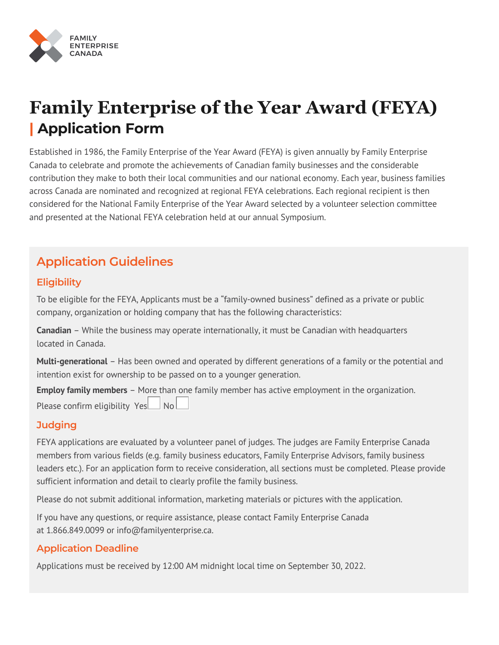

# **Family Enterprise of the Year Award (FEYA) | Application Form**

Established in 1986, the Family Enterprise of the Year Award (FEYA) is given annually by Family Enterprise Canada to celebrate and promote the achievements of Canadian family businesses and the considerable contribution they make to both their local communities and our national economy. Each year, business families across Canada are nominated and recognized at regional FEYA celebrations. Each regional recipient is then considered for the National Family Enterprise of the Year Award selected by a volunteer selection committee and presented at the National FEYA celebration held at our annual Symposium.

## **Application Guidelines**

## **Eligibility**

To be eligible for the FEYA, Applicants must be a "family-owned business" defined as a private or public company, organization or holding company that has the following characteristics:

**Canadian** – While the business may operate internationally, it must be Canadian with headquarters located in Canada.

**Multi-generational** – Has been owned and operated by different generations of a family or the potential and intention exist for ownership to be passed on to a younger generation.

**Employ family members** – More than one family member has active employment in the organization. Please confirm eligibility  $Yes$  No

### **Judging**

FEYA applications are evaluated by a volunteer panel of judges. The judges are Family Enterprise Canada members from various fields (e.g. family business educators, Family Enterprise Advisors, family business leaders etc.). For an application form to receive consideration, all sections must be completed. Please provide sufficient information and detail to clearly profile the family business.

Please do not submit additional information, marketing materials or pictures with the application.

If you have any questions, or require assistance, please contact Family Enterprise Canada at 1.866.849.0099 or info[@familyenterprise](mailto:info@familyenterprise.ca).ca.

### **Application Deadline**

Applications must be received by 12:00 AM midnight local time on September 30, 2022.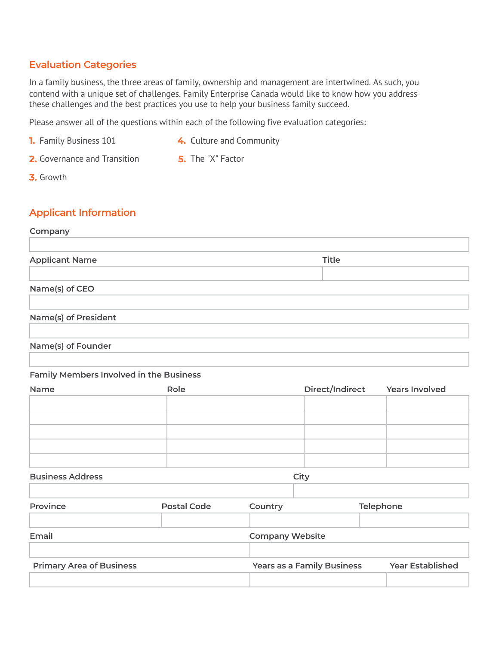#### **Evaluation Categories**

In a family business, the three areas of family, ownership and management are intertwined. As such, you contend with a unique set of challenges. Family Enterprise Canada would like to know how you address these challenges and the best practices you use to help your business family succeed.

Please answer all of the questions within each of the following five evaluation categories:

- **1.** Family Business 101
- **4.** Culture and Community
- **2.** Governance and Transition
- **5.** The "X" Factor

**3.** Growth

#### **Applicant Information**

#### **Company**

| <b>Applicant Name</b> | Title |
|-----------------------|-------|
|                       |       |
| Name(s) of CEO        |       |
| Name(s) of President  |       |

#### **Name(s) of Founder**

#### **Family Members Involved in the Business**

| Name | Role | Direct/Indirect Years Involved |  |
|------|------|--------------------------------|--|
|      |      |                                |  |
|      |      |                                |  |
|      |      |                                |  |
|      |      |                                |  |
|      |      |                                |  |

#### **Business Address City**

| Province                        | Postal Code            | Country                           | Telephone               |
|---------------------------------|------------------------|-----------------------------------|-------------------------|
| Email                           | <b>Company Website</b> |                                   |                         |
| <b>Primary Area of Business</b> |                        | <b>Years as a Family Business</b> | <b>Year Established</b> |
|                                 |                        |                                   |                         |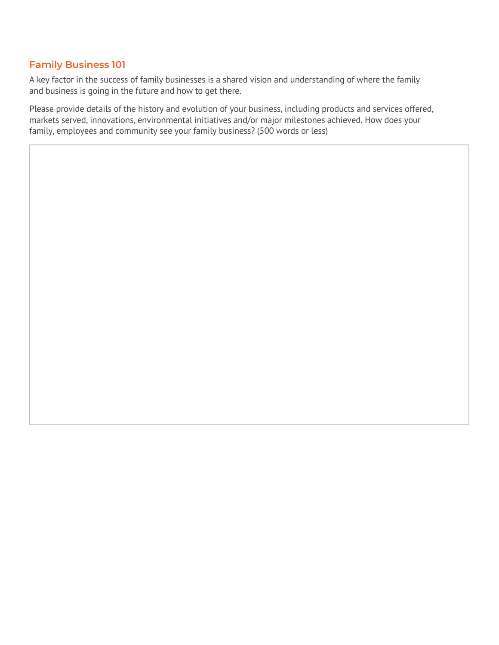## **Family Business 101**

A key factor in the success of family businesses is a shared vision and understanding of where the family and business is going in the future and how to get there.

Please provide details of the history and evolution of your business, including products and services offered, markets served, innovations, environmental initiatives and/or major milestones achieved. How does your family, employees and community see your family business? (500 words or less)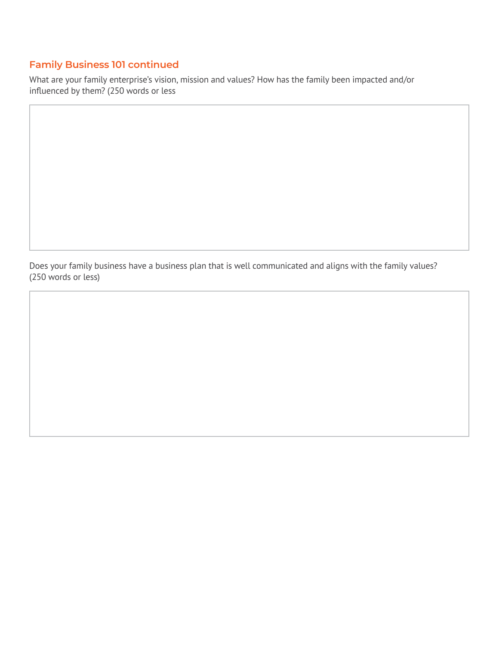## **Family Business 101 continued**

What are your family enterprise's vision, mission and values? How has the family been impacted and/or influenced by them? (250 words or less

Does your family business have a business plan that is well communicated and aligns with the family values? (250 words or less)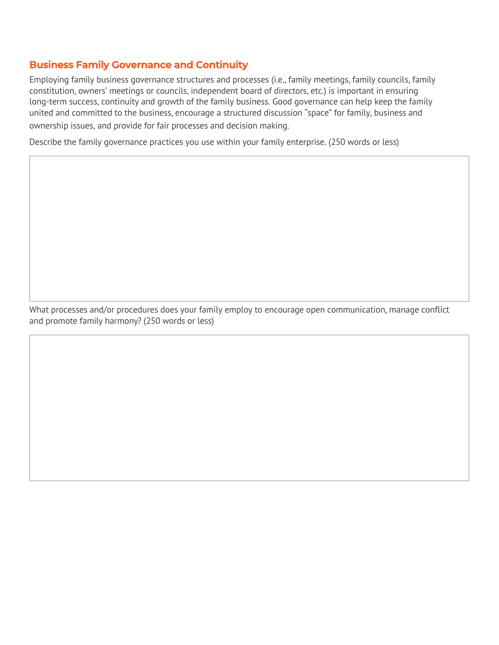### **Business Family Governance and Continuity**

Employing family business governance structures and processes (i.e., family meetings, family councils, family constitution, owners' meetings or councils, independent board of directors, etc.) is important in ensuring long-term success, continuity and growth of the family business. Good governance can help keep the family united and committed to the business, encourage a structured discussion "space" for family, business and ownership issues, and provide for fair processes and decision making.

Describe the family governance practices you use within your family enterprise. (250 words or less)

What processes and/or procedures does your family employ to encourage open communication, manage conflict and promote family harmony? (250 words or less)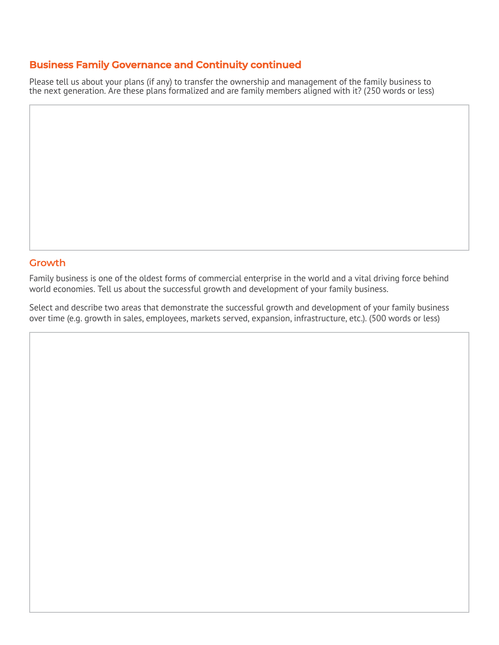#### **Business Family Governance and Continuity continued**

Please tell us about your plans (if any) to transfer the ownership and management of the family business to the next generation. Are these plans formalized and are family members aligned with it? (250 words or less)

#### **Growth**

Family business is one of the oldest forms of commercial enterprise in the world and a vital driving force behind world economies. Tell us about the successful growth and development of your family business.

Select and describe two areas that demonstrate the successful growth and development of your family business over time (e.g. growth in sales, employees, markets served, expansion, infrastructure, etc.). (500 words or less)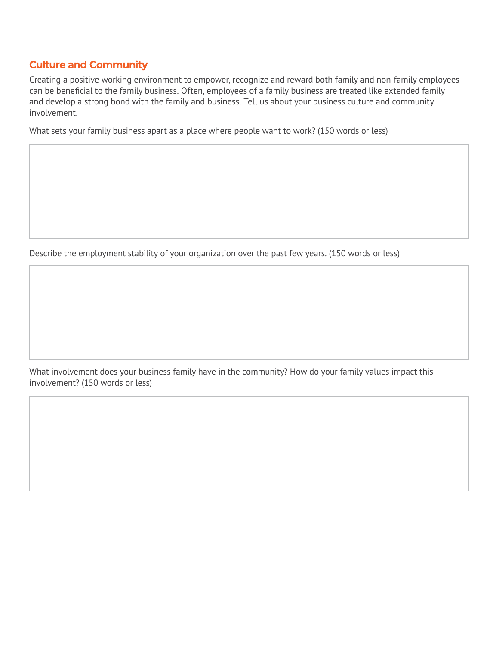#### **Culture and Community**

Creating a positive working environment to empower, recognize and reward both family and non-family employees can be beneficial to the family business. Often, employees of a family business are treated like extended family and develop a strong bond with the family and business. Tell us about your business culture and community involvement.

What sets your family business apart as a place where people want to work? (150 words or less)

Describe the employment stability of your organization over the past few years. (150 words or less)

What involvement does your business family have in the community? How do your family values impact this involvement? (150 words or less)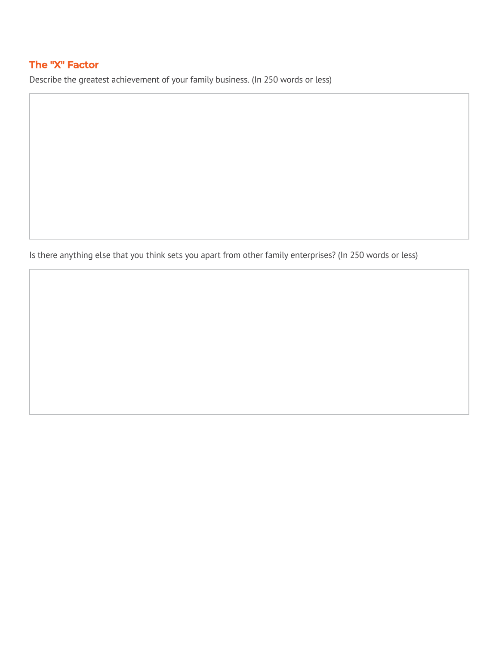## **The "X" Factor**

Describe the greatest achievement of your family business. (In 250 words or less)

Is there anything else that you think sets you apart from other family enterprises? (In 250 words or less)